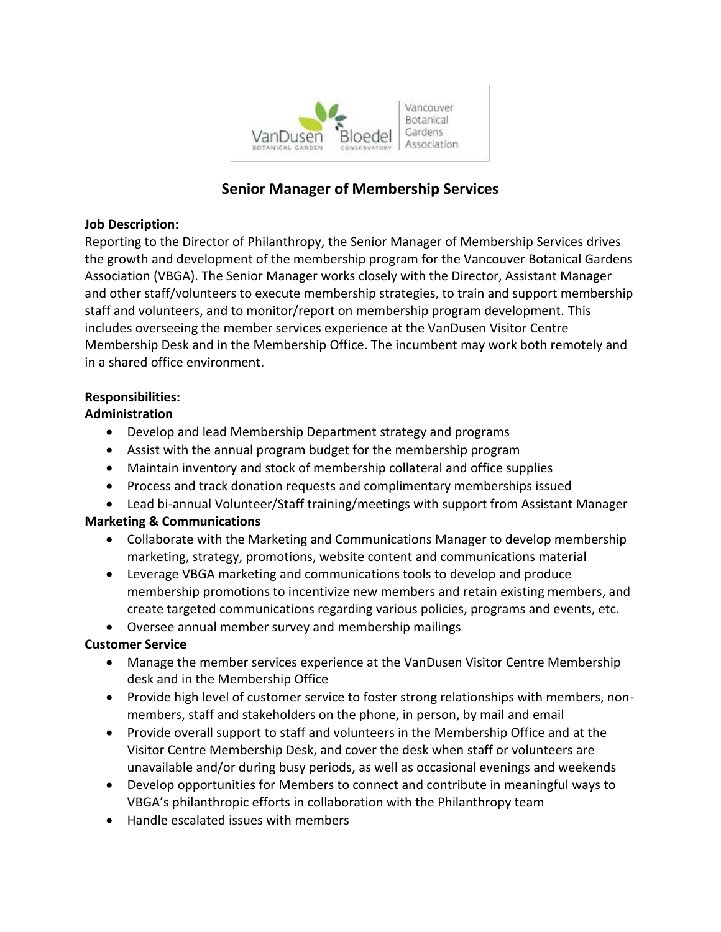

# **Senior Manager of Membership Services**

#### **Job Description:**

Reporting to the Director of Philanthropy, the Senior Manager of Membership Services drives the growth and development of the membership program for the Vancouver Botanical Gardens Association (VBGA). The Senior Manager works closely with the Director, Assistant Manager and other staff/volunteers to execute membership strategies, to train and support membership staff and volunteers, and to monitor/report on membership program development. This includes overseeing the member services experience at the VanDusen Visitor Centre Membership Desk and in the Membership Office. The incumbent may work both remotely and in a shared office environment.

### **Responsibilities:**

### **Administration**

- Develop and lead Membership Department strategy and programs
- Assist with the annual program budget for the membership program
- Maintain inventory and stock of membership collateral and office supplies
- Process and track donation requests and complimentary memberships issued
- Lead bi-annual Volunteer/Staff training/meetings with support from Assistant Manager

### **Marketing & Communications**

- Collaborate with the Marketing and Communications Manager to develop membership marketing, strategy, promotions, website content and communications material
- Leverage VBGA marketing and communications tools to develop and produce membership promotions to incentivize new members and retain existing members, and create targeted communications regarding various policies, programs and events, etc.
- Oversee annual member survey and membership mailings

### **Customer Service**

- Manage the member services experience at the VanDusen Visitor Centre Membership desk and in the Membership Office
- Provide high level of customer service to foster strong relationships with members, nonmembers, staff and stakeholders on the phone, in person, by mail and email
- Provide overall support to staff and volunteers in the Membership Office and at the Visitor Centre Membership Desk, and cover the desk when staff or volunteers are unavailable and/or during busy periods, as well as occasional evenings and weekends
- Develop opportunities for Members to connect and contribute in meaningful ways to VBGA's philanthropic efforts in collaboration with the Philanthropy team
- Handle escalated issues with members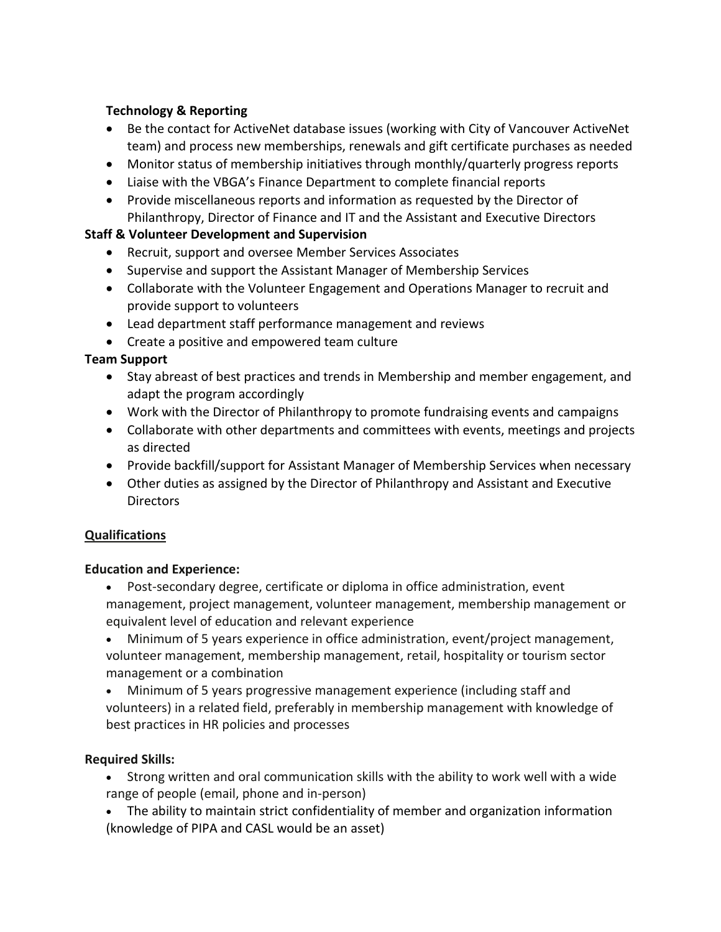### **Technology & Reporting**

- Be the contact for ActiveNet database issues (working with City of Vancouver ActiveNet team) and process new memberships, renewals and gift certificate purchases as needed
- Monitor status of membership initiatives through monthly/quarterly progress reports
- Liaise with the VBGA's Finance Department to complete financial reports
- Provide miscellaneous reports and information as requested by the Director of Philanthropy, Director of Finance and IT and the Assistant and Executive Directors

## **Staff & Volunteer Development and Supervision**

- Recruit, support and oversee Member Services Associates
- Supervise and support the Assistant Manager of Membership Services
- Collaborate with the Volunteer Engagement and Operations Manager to recruit and provide support to volunteers
- Lead department staff performance management and reviews
- Create a positive and empowered team culture

### **Team Support**

- Stay abreast of best practices and trends in Membership and member engagement, and adapt the program accordingly
- Work with the Director of Philanthropy to promote fundraising events and campaigns
- Collaborate with other departments and committees with events, meetings and projects as directed
- Provide backfill/support for Assistant Manager of Membership Services when necessary
- Other duties as assigned by the Director of Philanthropy and Assistant and Executive **Directors**

### **Qualifications**

### **Education and Experience:**

- Post-secondary degree, certificate or diploma in office administration, event management, project management, volunteer management, membership management or equivalent level of education and relevant experience
- Minimum of 5 years experience in office administration, event/project management, volunteer management, membership management, retail, hospitality or tourism sector management or a combination
- Minimum of 5 years progressive management experience (including staff and volunteers) in a related field, preferably in membership management with knowledge of best practices in HR policies and processes

### **Required Skills:**

- Strong written and oral communication skills with the ability to work well with a wide range of people (email, phone and in-person)
- The ability to maintain strict confidentiality of member and organization information (knowledge of PIPA and CASL would be an asset)